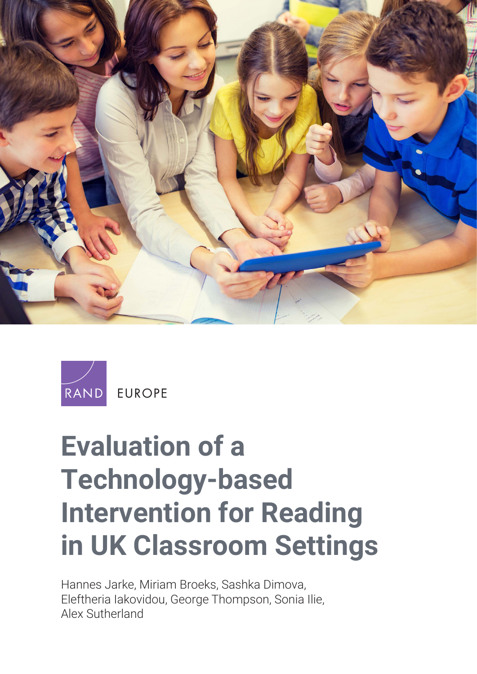



**EUROPE** 

# **Evaluation of a Technology-based Intervention for Reading [in UK Classroom Settings](https://www.rand.org/pubs/research_reports/RR4208.html)**

Hannes Jarke, Miriam Broeks, Sashka Dimova, Eleftheria Iakovidou, George Thompson, Sonia Ilie, Alex Sutherland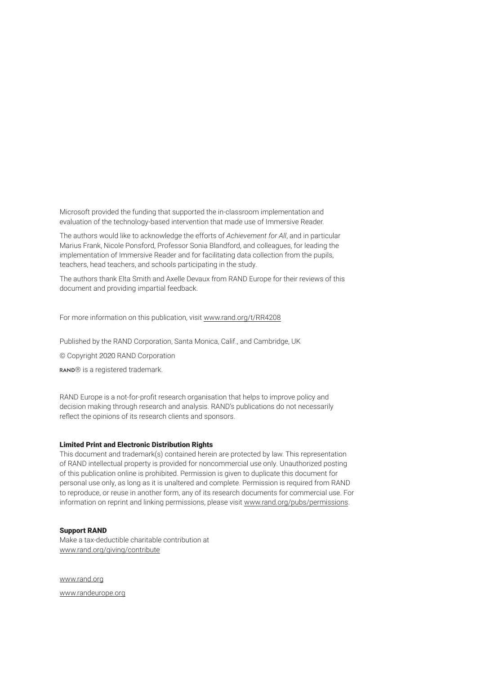Microsoft provided the funding that supported the in-classroom implementation and evaluation of the technology-based intervention that made use of Immersive Reader.

The authors would like to acknowledge the efforts of *Achievement for All*, and in particular Marius Frank, Nicole Ponsford, Professor Sonia Blandford, and colleagues, for leading the implementation of Immersive Reader and for facilitating data collection from the pupils, teachers, head teachers, and schools participating in the study.

The authors thank Elta Smith and Axelle Devaux from RAND Europe for their reviews of this document and providing impartial feedback.

For more information on this publication, visit [www.rand.org/t/RR4208](http://www.rand.org/t/RR4208)

Published by the RAND Corporation, Santa Monica, Calif., and Cambridge, UK

© Copyright 2020 RAND Corporation

RAND® is a registered trademark.

RAND Europe is a not-for-profit research organisation that helps to improve policy and decision making through research and analysis. RAND's publications do not necessarily reflect the opinions of its research clients and sponsors.

#### Limited Print and Electronic Distribution Rights

This document and trademark(s) contained herein are protected by law. This representation of RAND intellectual property is provided for noncommercial use only. Unauthorized posting of this publication online is prohibited. Permission is given to duplicate this document for personal use only, as long as it is unaltered and complete. Permission is required from RAND to reproduce, or reuse in another form, any of its research documents for commercial use. For information on reprint and linking permissions, please visit [www.rand.org/pubs/permissions.](http://www.rand.org/pubs/permissions)

#### Support RAND

Make a tax-deductible charitable contribution at [www.rand.org/giving/contribute](http://www.rand.org/giving/contribute)

[www.rand.org](http://www.rand.org) [www.randeurope.org](http://www.randeurope.org)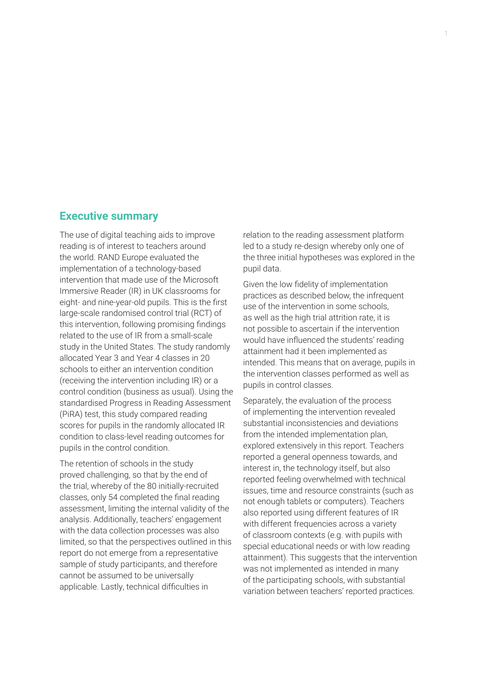# **Executive summary**

The use of digital teaching aids to improve reading is of interest to teachers around the world. RAND Europe evaluated the implementation of a technology-based intervention that made use of the Microsoft Immersive Reader (IR) in UK classrooms for eight- and nine-year-old pupils. This is the first large-scale randomised control trial (RCT) of this intervention, following promising findings related to the use of IR from a small-scale study in the United States. The study randomly allocated Year 3 and Year 4 classes in 20 schools to either an intervention condition (receiving the intervention including IR) or a control condition (business as usual). Using the standardised Progress in Reading Assessment (PiRA) test, this study compared reading scores for pupils in the randomly allocated IR condition to class-level reading outcomes for pupils in the control condition.

The retention of schools in the study proved challenging, so that by the end of the trial, whereby of the 80 initially-recruited classes, only 54 completed the final reading assessment, limiting the internal validity of the analysis. Additionally, teachers' engagement with the data collection processes was also limited, so that the perspectives outlined in this report do not emerge from a representative sample of study participants, and therefore cannot be assumed to be universally applicable. Lastly, technical difficulties in

relation to the reading assessment platform led to a study re-design whereby only one of the three initial hypotheses was explored in the pupil data.

Given the low fidelity of implementation practices as described below, the infrequent use of the intervention in some schools, as well as the high trial attrition rate, it is not possible to ascertain if the intervention would have influenced the students' reading attainment had it been implemented as intended. This means that on average, pupils in the intervention classes performed as well as pupils in control classes.

Separately, the evaluation of the process of implementing the intervention revealed substantial inconsistencies and deviations from the intended implementation plan, explored extensively in this report. Teachers reported a general openness towards, and interest in, the technology itself, but also reported feeling overwhelmed with technical issues, time and resource constraints (such as not enough tablets or computers). Teachers also reported using different features of IR with different frequencies across a variety of classroom contexts (e.g. with pupils with special educational needs or with low reading attainment). This suggests that the intervention was not implemented as intended in many of the participating schools, with substantial variation between teachers' reported practices.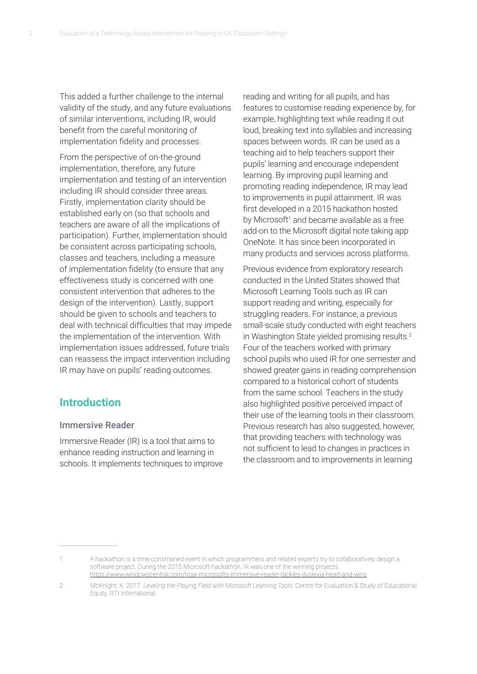This added a further challenge to the internal validity of the study, and any future evaluations of similar interventions, including IR, would benefit from the careful monitoring of implementation fidelity and processes.

From the perspective of on-the-ground implementation, therefore, any future implementation and testing of an intervention including IR should consider three areas. Firstly, implementation clarity should be established early on (so that schools and teachers are aware of all the implications of participation). Further, implementation should be consistent across participating schools, classes and teachers, including a measure of implementation fidelity (to ensure that any effectiveness study is concerned with one consistent intervention that adheres to the design of the intervention). Lastly, support should be given to schools and teachers to deal with technical difficulties that may impede the implementation of the intervention. With implementation issues addressed, future trials can reassess the impact intervention including IR may have on pupils' reading outcomes.

# **Introduction**

## Immersive Reader

Immersive Reader (IR) is a tool that aims to enhance reading instruction and learning in schools. It implements techniques to improve reading and writing for all pupils, and has features to customise reading experience by, for example, highlighting text while reading it out loud, breaking text into syllables and increasing spaces between words. IR can be used as a teaching aid to help teachers support their pupils' learning and encourage independent learning. By improving pupil learning and promoting reading independence, IR may lead to improvements in pupil attainment. IR was first developed in a 2015 hackathon hosted by Microsoft<sup>1</sup> and became available as a free add-on to the Microsoft digital note taking app OneNote. It has since been incorporated in many products and services across platforms.

Previous evidence from exploratory research conducted in the United States showed that Microsoft Learning Tools such as IR can support reading and writing, especially for struggling readers. For instance, a previous small-scale study conducted with eight teachers in Washington State yielded promising results.2 Four of the teachers worked with primary school pupils who used IR for one semester and showed greater gains in reading comprehension compared to a historical cohort of students from the same school. Teachers in the study also highlighted positive perceived impact of their use of the learning tools in their classroom. Previous research has also suggested, however, that providing teachers with technology was not sufficient to lead to changes in practices in the classroom and to improvements in learning

<sup>1</sup> A hackathon is a time-constrained event in which programmers and related experts try to collaboratively design a software project. During the 2015 Microsoft hackathon, IR was one of the winning projects. <https://www.windowscentral.com/how-microsofts-immersive-reader-tackles-dyslexia-head-and-wins>

<sup>2</sup> McKnight, K. 2017. *Leveling the Playing Field with Microsoft Learning Tools*. Centre for Evaluation & Study of Educational Equity, RTI International.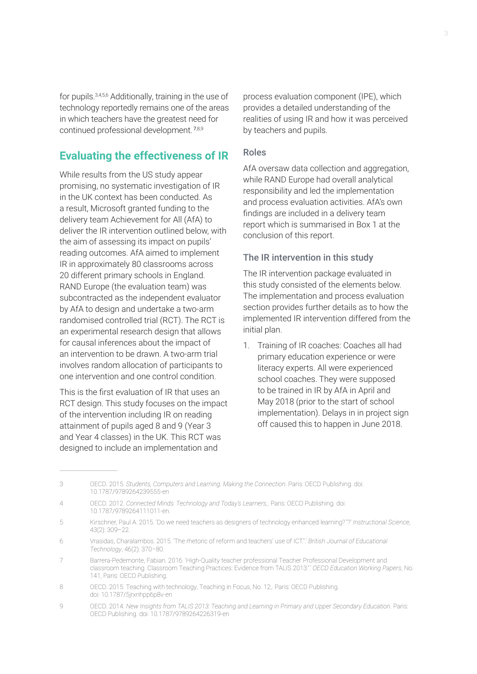for pupils.3,4,5,6 Additionally, training in the use of technology reportedly remains one of the areas in which teachers have the greatest need for continued professional development.<sup>7,8,9</sup>

# **Evaluating the effectiveness of IR**

While results from the US study appear promising, no systematic investigation of IR in the UK context has been conducted. As a result, Microsoft granted funding to the delivery team Achievement for All (AfA) to deliver the IR intervention outlined below, with the aim of assessing its impact on pupils' reading outcomes. AfA aimed to implement IR in approximately 80 classrooms across 20 different primary schools in England. RAND Europe (the evaluation team) was subcontracted as the independent evaluator by AfA to design and undertake a two-arm randomised controlled trial (RCT). The RCT is an experimental research design that allows for causal inferences about the impact of an intervention to be drawn. A two-arm trial involves random allocation of participants to one intervention and one control condition.

This is the first evaluation of IR that uses an RCT design. This study focuses on the impact of the intervention including IR on reading attainment of pupils aged 8 and 9 (Year 3 and Year 4 classes) in the UK. This RCT was designed to include an implementation and

process evaluation component (IPE), which provides a detailed understanding of the realities of using IR and how it was perceived by teachers and pupils.

## Roles

AfA oversaw data collection and aggregation, while RAND Europe had overall analytical responsibility and led the implementation and process evaluation activities. AfA's own findings are included in a delivery team report which is summarised in Box 1 at the conclusion of this report.

## The IR intervention in this study

The IR intervention package evaluated in this study consisted of the elements below. The implementation and process evaluation section provides further details as to how the implemented IR intervention differed from the initial plan.

1. Training of IR coaches: Coaches all had primary education experience or were literacy experts. All were experienced school coaches. They were supposed to be trained in IR by AfA in April and May 2018 (prior to the start of school implementation). Delays in in project sign off caused this to happen in June 2018.

<sup>3</sup> OECD. 2015. *Students, Computers and Learning. Making the Connection*. Paris: OECD Publishing. doi: 10.1787/9789264239555-en

<sup>4</sup> OECD. 2012. *Connected Minds: Technology and Today's Learners*,. Paris: OECD Publishing. doi: 10.1787/9789264111011-en.

<sup>5</sup> Kirschner, Paul A. 2015. 'Do we need teachers as designers of technology enhanced learning?."?' *Instructional Science*, 43(2): 309–22.

<sup>6</sup> Vrasidas, Charalambos. 2015. 'The rhetoric of reform and teachers' use of ICT.".' *British Journal of Educational Technology*, 46(2): 370–80.

<sup>7</sup> Barrera-Pedemonte, Fabian. 2016. 'High-Quality teacher professional Teacher Professional Development and classroom teaching. Classroom Teaching Practices: Evidence from TALIS 2013.".' *OECD Education Working Papers*, No. 141, Paris: OECD Publishing.

<sup>8</sup> OECD. 2015. Teaching with technology, Teaching in Focus, No. 12, Paris: OECD Publishing. doi: 10.1787/5jrxnhpp6p8v-en

<sup>9</sup> OECD. 2014. *New Insights from TALIS 2013: Teaching and Learning in Primary and Upper Secondary Education*. Paris: OECD Publishing. doi: 10.1787/9789264226319-en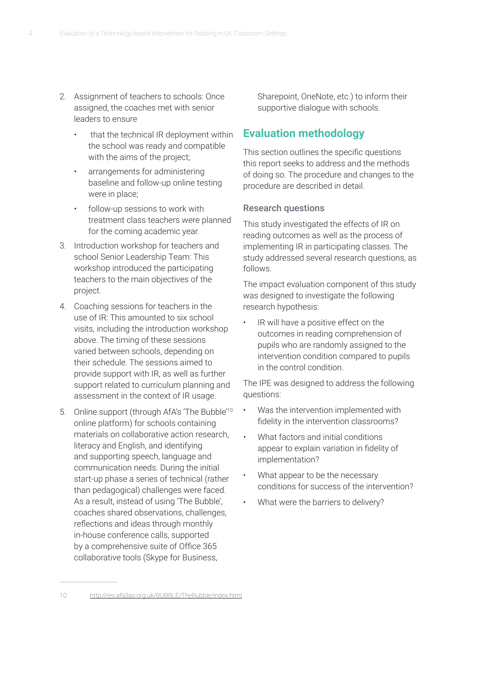- 2. Assignment of teachers to schools: Once assigned, the coaches met with senior leaders to ensure
	- that the technical IR deployment within the school was ready and compatible with the aims of the project;
	- arrangements for administering baseline and follow-up online testing were in place;
	- follow-up sessions to work with treatment class teachers were planned for the coming academic year.
- 3. Introduction workshop for teachers and school Senior Leadership Team: This workshop introduced the participating teachers to the main objectives of the project.
- 4. Coaching sessions for teachers in the use of IR: This amounted to six school visits, including the introduction workshop above. The timing of these sessions varied between schools, depending on their schedule. The sessions aimed to provide support with IR, as well as further support related to curriculum planning and assessment in the context of IR usage.
- 5. Online support (through AfA's 'The Bubble'10 online platform) for schools containing materials on collaborative action research, literacy and English, and identifying and supporting speech, language and communication needs. During the initial start-up phase a series of technical (rather than pedagogical) challenges were faced. As a result, instead of using 'The Bubble', coaches shared observations, challenges, reflections and ideas through monthly in-house conference calls, supported by a comprehensive suite of Office 365 collaborative tools (Skype for Business,

Sharepoint, OneNote, etc.) to inform their supportive dialogue with schools.

# **Evaluation methodology**

This section outlines the specific questions this report seeks to address and the methods of doing so. The procedure and changes to the procedure are described in detail.

## Research questions

This study investigated the effects of IR on reading outcomes as well as the process of implementing IR in participating classes. The study addressed several research questions, as follows.

The impact evaluation component of this study was designed to investigate the following research hypothesis:

IR will have a positive effect on the outcomes in reading comprehension of pupils who are randomly assigned to the intervention condition compared to pupils in the control condition.

The IPE was designed to address the following questions:

- Was the intervention implemented with fidelity in the intervention classrooms?
- What factors and initial conditions appear to explain variation in fidelity of implementation?
- What appear to be the necessary conditions for success of the intervention?
- What were the barriers to delivery?

<sup>10</sup> <http://res.afa3as.org.uk/BUBBLE/TheBubble/index.html>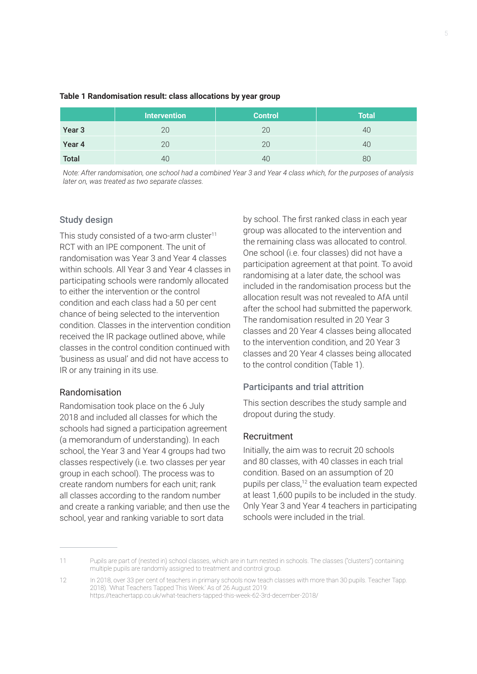| Table 1 Randomisation result: class allocations by year group |  |
|---------------------------------------------------------------|--|
|---------------------------------------------------------------|--|

|              | <b>Intervention</b> | <b>Control</b> | <b>Total</b> |
|--------------|---------------------|----------------|--------------|
| Year 3       | 20                  | 20             | 40           |
| Year 4       | 20                  | 20             | 40           |
| <b>Total</b> | 40                  | 40             | 80           |

*Note: After randomisation, one school had a combined Year 3 and Year 4 class which, for the purposes of analysis later on, was treated as two separate classes.*

## Study design

This study consisted of a two-arm cluster<sup>11</sup> RCT with an IPE component. The unit of randomisation was Year 3 and Year 4 classes within schools. All Year 3 and Year 4 classes in participating schools were randomly allocated to either the intervention or the control condition and each class had a 50 per cent chance of being selected to the intervention condition. Classes in the intervention condition received the IR package outlined above, while classes in the control condition continued with 'business as usual' and did not have access to IR or any training in its use.

#### Randomisation

Randomisation took place on the 6 July 2018 and included all classes for which the schools had signed a participation agreement (a memorandum of understanding). In each school, the Year 3 and Year 4 groups had two classes respectively (i.e. two classes per year group in each school). The process was to create random numbers for each unit; rank all classes according to the random number and create a ranking variable; and then use the school, year and ranking variable to sort data

by school. The first ranked class in each year group was allocated to the intervention and the remaining class was allocated to control. One school (i.e. four classes) did not have a participation agreement at that point. To avoid randomising at a later date, the school was included in the randomisation process but the allocation result was not revealed to AfA until after the school had submitted the paperwork. The randomisation resulted in 20 Year 3 classes and 20 Year 4 classes being allocated to the intervention condition, and 20 Year 3 classes and 20 Year 4 classes being allocated to the control condition (Table 1).

## Participants and trial attrition

This section describes the study sample and dropout during the study.

## Recruitment

Initially, the aim was to recruit 20 schools and 80 classes, with 40 classes in each trial condition. Based on an assumption of 20 pupils per class,<sup>12</sup> the evaluation team expected at least 1,600 pupils to be included in the study. Only Year 3 and Year 4 teachers in participating schools were included in the trial.

<https://teachertapp.co.uk/what-teachers-tapped-this-week-62-3rd-december-2018/>

<sup>11</sup> Pupils are part of (nested in) school classes, which are in turn nested in schools. The classes ("clusters") containing multiple pupils are randomly assigned to treatment and control group.

<sup>12</sup> In 2018, over 33 per cent of teachers in primary schools now teach classes with more than 30 pupils. Teacher Tapp. 2018). 'What Teachers Tapped This Week.' As of 26 August 2019: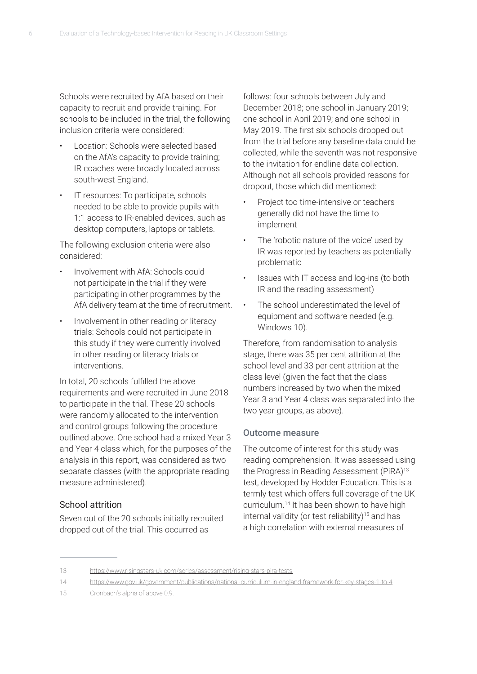Schools were recruited by AfA based on their capacity to recruit and provide training. For schools to be included in the trial, the following inclusion criteria were considered:

- Location: Schools were selected based on the AfA's capacity to provide training; IR coaches were broadly located across south-west England.
- IT resources: To participate, schools needed to be able to provide pupils with 1:1 access to IR-enabled devices, such as desktop computers, laptops or tablets.

The following exclusion criteria were also considered:

- Involvement with AfA: Schools could not participate in the trial if they were participating in other programmes by the AfA delivery team at the time of recruitment.
- Involvement in other reading or literacy trials: Schools could not participate in this study if they were currently involved in other reading or literacy trials or interventions.

In total, 20 schools fulfilled the above requirements and were recruited in June 2018 to participate in the trial. These 20 schools were randomly allocated to the intervention and control groups following the procedure outlined above. One school had a mixed Year 3 and Year 4 class which, for the purposes of the analysis in this report, was considered as two separate classes (with the appropriate reading measure administered).

## School attrition

Seven out of the 20 schools initially recruited dropped out of the trial. This occurred as

follows: four schools between July and December 2018; one school in January 2019; one school in April 2019; and one school in May 2019. The first six schools dropped out from the trial before any baseline data could be collected, while the seventh was not responsive to the invitation for endline data collection. Although not all schools provided reasons for dropout, those which did mentioned:

- Project too time-intensive or teachers generally did not have the time to implement
- The 'robotic nature of the voice' used by IR was reported by teachers as potentially problematic
- Issues with IT access and log-ins (to both IR and the reading assessment)
- The school underestimated the level of equipment and software needed (e.g. Windows 10).

Therefore, from randomisation to analysis stage, there was 35 per cent attrition at the school level and 33 per cent attrition at the class level (given the fact that the class numbers increased by two when the mixed Year 3 and Year 4 class was separated into the two year groups, as above).

#### Outcome measure

The outcome of interest for this study was reading comprehension. It was assessed using the Progress in Reading Assessment (PiRA)<sup>13</sup> test, developed by Hodder Education. This is a termly test which offers full coverage of the UK curriculum.14 It has been shown to have high internal validity (or test reliability)<sup>15</sup> and has a high correlation with external measures of

<sup>13</sup> <https://www.risingstars-uk.com/series/assessment/rising-stars-pira-tests>

<sup>14</sup> <https://www.gov.uk/government/publications/national-curriculum-in-england-framework-for-key-stages-1-to-4>

<sup>15</sup> Cronbach's alpha of above 0.9.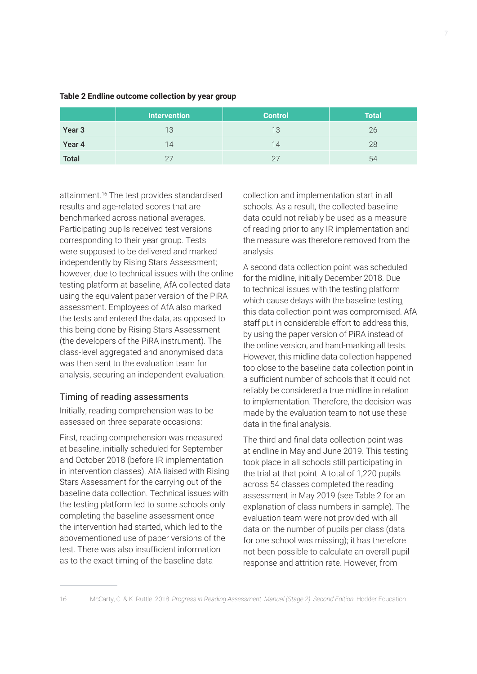|                   | <b>Intervention</b> | <b>Control</b> | <b>Total</b> |
|-------------------|---------------------|----------------|--------------|
| Year <sub>3</sub> | 13                  | 13             | 26           |
| Year 4            | 14                  | 14             | 28           |
| <b>Total</b>      |                     |                | 54           |

#### **Table 2 Endline outcome collection by year group**

attainment.16 The test provides standardised results and age-related scores that are benchmarked across national averages. Participating pupils received test versions corresponding to their year group. Tests were supposed to be delivered and marked independently by Rising Stars Assessment; however, due to technical issues with the online testing platform at baseline, AfA collected data using the equivalent paper version of the PiRA assessment. Employees of AfA also marked the tests and entered the data, as opposed to this being done by Rising Stars Assessment (the developers of the PiRA instrument). The class-level aggregated and anonymised data was then sent to the evaluation team for analysis, securing an independent evaluation.

## Timing of reading assessments

Initially, reading comprehension was to be assessed on three separate occasions:

First, reading comprehension was measured at baseline, initially scheduled for September and October 2018 (before IR implementation in intervention classes). AfA liaised with Rising Stars Assessment for the carrying out of the baseline data collection. Technical issues with the testing platform led to some schools only completing the baseline assessment once the intervention had started, which led to the abovementioned use of paper versions of the test. There was also insufficient information as to the exact timing of the baseline data

collection and implementation start in all schools. As a result, the collected baseline data could not reliably be used as a measure of reading prior to any IR implementation and the measure was therefore removed from the analysis.

A second data collection point was scheduled for the midline, initially December 2018. Due to technical issues with the testing platform which cause delays with the baseline testing, this data collection point was compromised. AfA staff put in considerable effort to address this, by using the paper version of PiRA instead of the online version, and hand-marking all tests. However, this midline data collection happened too close to the baseline data collection point in a sufficient number of schools that it could not reliably be considered a true midline in relation to implementation. Therefore, the decision was made by the evaluation team to not use these data in the final analysis.

The third and final data collection point was at endline in May and June 2019. This testing took place in all schools still participating in the trial at that point. A total of 1,220 pupils across 54 classes completed the reading assessment in May 2019 (see Table 2 for an explanation of class numbers in sample). The evaluation team were not provided with all data on the number of pupils per class (data for one school was missing); it has therefore not been possible to calculate an overall pupil response and attrition rate. However, from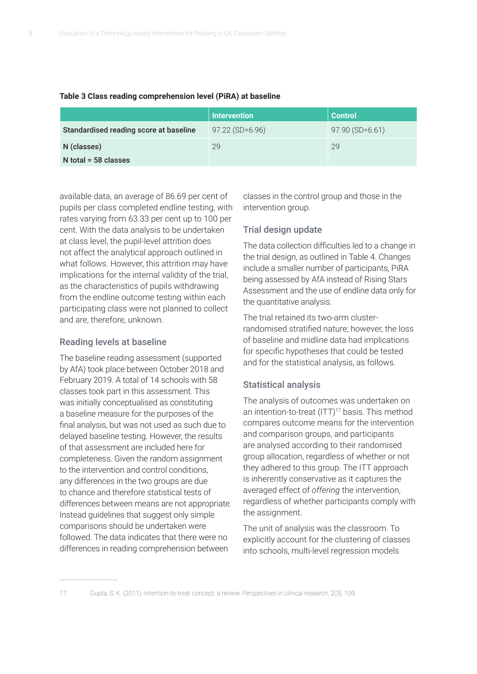|                                        | <b>Intervention</b> | <b>Control</b>  |
|----------------------------------------|---------------------|-----------------|
| Standardised reading score at baseline | 97.22 (SD=6.96)     | 97.90 (SD=6.61) |
| N (classes)                            | 29                  | 29              |
| N total = $58$ classes                 |                     |                 |

#### **Table 3 Class reading comprehension level (PiRA) at baseline**

available data, an average of 86.69 per cent of pupils per class completed endline testing, with rates varying from 63.33 per cent up to 100 per cent. With the data analysis to be undertaken at class level, the pupil-level attrition does not affect the analytical approach outlined in what follows. However, this attrition may have implications for the internal validity of the trial, as the characteristics of pupils withdrawing from the endline outcome testing within each participating class were not planned to collect and are, therefore, unknown.

## Reading levels at baseline

The baseline reading assessment (supported by AfA) took place between October 2018 and February 2019. A total of 14 schools with 58 classes took part in this assessment. This was initially conceptualised as constituting a baseline measure for the purposes of the final analysis, but was not used as such due to delayed baseline testing. However, the results of that assessment are included here for completeness. Given the random assignment to the intervention and control conditions, any differences in the two groups are due to chance and therefore statistical tests of differences between means are not appropriate. Instead guidelines that suggest only simple comparisons should be undertaken were followed. The data indicates that there were no differences in reading comprehension between

classes in the control group and those in the intervention group.

## Trial design update

The data collection difficulties led to a change in the trial design, as outlined in Table 4. Changes include a smaller number of participants, PiRA being assessed by AfA instead of Rising Stars Assessment and the use of endline data only for the quantitative analysis.

The trial retained its two-arm clusterrandomised stratified nature; however, the loss of baseline and midline data had implications for specific hypotheses that could be tested and for the statistical analysis, as follows.

## Statistical analysis

The analysis of outcomes was undertaken on an intention-to-treat (ITT)<sup>17</sup> basis. This method compares outcome means for the intervention and comparison groups, and participants are analysed according to their randomised group allocation, regardless of whether or not they adhered to this group. The ITT approach is inherently conservative as it captures the averaged effect of *offering* the intervention, regardless of whether participants comply with the assignment.

The unit of analysis was the classroom. To explicitly account for the clustering of classes into schools, multi-level regression models

<sup>17</sup> Gupta, S. K. (2011). Intention-to-treat concept: a review. *Perspectives in clinical research*, 2(3), 109.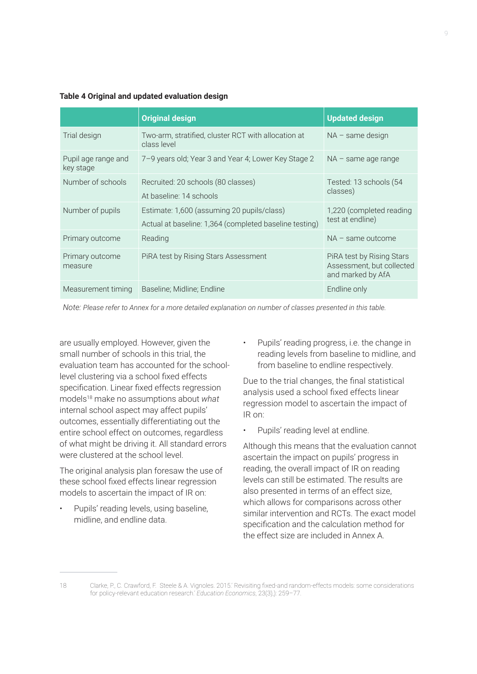|                                  | <b>Original design</b>                                                                               | <b>Updated design</b>                                                       |
|----------------------------------|------------------------------------------------------------------------------------------------------|-----------------------------------------------------------------------------|
| Trial design                     | Two-arm, stratified, cluster RCT with allocation at<br>class level                                   | $NA$ – same design                                                          |
| Pupil age range and<br>key stage | 7-9 years old; Year 3 and Year 4; Lower Key Stage 2                                                  | $NA$ – same age range                                                       |
| Number of schools                | Recruited: 20 schools (80 classes)<br>At baseline: 14 schools                                        | Tested: 13 schools (54<br>classes)                                          |
| Number of pupils                 | Estimate: 1,600 (assuming 20 pupils/class)<br>Actual at baseline: 1,364 (completed baseline testing) | 1,220 (completed reading<br>test at endline)                                |
| Primary outcome                  | Reading                                                                                              | $NA$ – same outcome                                                         |
| Primary outcome<br>measure       | PIRA test by Rising Stars Assessment                                                                 | PiRA test by Rising Stars<br>Assessment, but collected<br>and marked by AfA |
| Measurement timing               | Baseline; Midline; Endline                                                                           | Endline only                                                                |

#### **Table 4 Original and updated evaluation design**

*Note: Please refer to Annex for a more detailed explanation on number of classes presented in this table.*

are usually employed. However, given the small number of schools in this trial, the evaluation team has accounted for the schoollevel clustering via a school fixed effects specification. Linear fixed effects regression models18 make no assumptions about *what* internal school aspect may affect pupils' outcomes, essentially differentiating out the entire school effect on outcomes, regardless of what might be driving it. All standard errors were clustered at the school level.

The original analysis plan foresaw the use of these school fixed effects linear regression models to ascertain the impact of IR on:

• Pupils' reading levels, using baseline, midline, and endline data.

• Pupils' reading progress, i.e. the change in reading levels from baseline to midline, and from baseline to endline respectively.

Due to the trial changes, the final statistical analysis used a school fixed effects linear regression model to ascertain the impact of IR on:

Pupils' reading level at endline.

Although this means that the evaluation cannot ascertain the impact on pupils' progress in reading, the overall impact of IR on reading levels can still be estimated. The results are also presented in terms of an effect size, which allows for comparisons across other similar intervention and RCTs. The exact model specification and the calculation method for the effect size are included in Annex A.

<sup>18</sup> Clarke, P., C. Crawford, F. Steele & A. Vignoles. 2015.' Revisiting fixed-and random-effects models: some considerations for policy-relevant education research.' *Education Economics*, 23(3),): 259–77.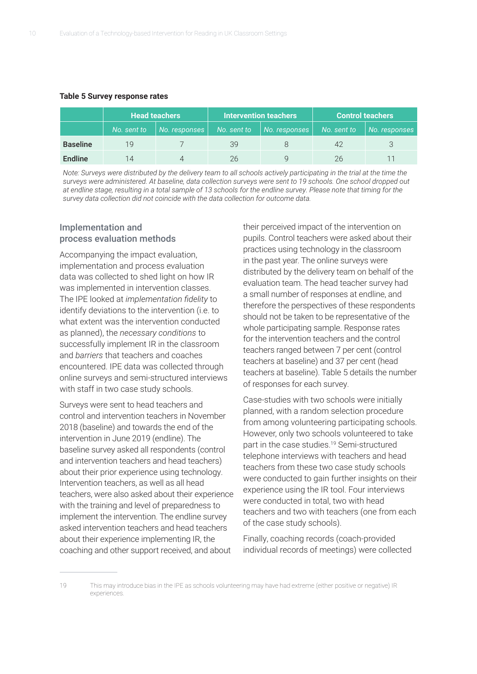#### **Table 5 Survey response rates**

|                 | <b>Head teachers</b> |               |                              | Intervention teachers | <b>Control teachers</b> |               |
|-----------------|----------------------|---------------|------------------------------|-----------------------|-------------------------|---------------|
|                 | No. sent to          | No. responses | No. sent to<br>No. responses |                       | No. sent to             | No. responses |
| <b>Baseline</b> | 19                   |               | 39                           |                       | 42                      |               |
| <b>Endline</b>  | 14                   |               | 26                           |                       | 26                      |               |

*Note: Surveys were distributed by the delivery team to all schools actively participating in the trial at the time the surveys were administered. At baseline, data collection surveys were sent to 19 schools. One school dropped out at endline stage, resulting in a total sample of 13 schools for the endline survey. Please note that timing for the survey data collection did not coincide with the data collection for outcome data.* 

## Implementation and process evaluation methods

Accompanying the impact evaluation, implementation and process evaluation data was collected to shed light on how IR was implemented in intervention classes. The IPE looked at *implementation fidelity* to identify deviations to the intervention (i.e. to what extent was the intervention conducted as planned), the *necessary conditions* to successfully implement IR in the classroom and *barriers* that teachers and coaches encountered. IPE data was collected through online surveys and semi-structured interviews with staff in two case study schools.

Surveys were sent to head teachers and control and intervention teachers in November 2018 (baseline) and towards the end of the intervention in June 2019 (endline). The baseline survey asked all respondents (control and intervention teachers and head teachers) about their prior experience using technology. Intervention teachers, as well as all head teachers, were also asked about their experience with the training and level of preparedness to implement the intervention. The endline survey asked intervention teachers and head teachers about their experience implementing IR, the coaching and other support received, and about

their perceived impact of the intervention on pupils. Control teachers were asked about their practices using technology in the classroom in the past year. The online surveys were distributed by the delivery team on behalf of the evaluation team. The head teacher survey had a small number of responses at endline, and therefore the perspectives of these respondents should not be taken to be representative of the whole participating sample. Response rates for the intervention teachers and the control teachers ranged between 7 per cent (control teachers at baseline) and 37 per cent (head teachers at baseline). Table 5 details the number of responses for each survey.

Case-studies with two schools were initially planned, with a random selection procedure from among volunteering participating schools. However, only two schools volunteered to take part in the case studies.<sup>19</sup> Semi-structured telephone interviews with teachers and head teachers from these two case study schools were conducted to gain further insights on their experience using the IR tool. Four interviews were conducted in total, two with head teachers and two with teachers (one from each of the case study schools).

Finally, coaching records (coach-provided individual records of meetings) were collected

<sup>19</sup> This may introduce bias in the IPE as schools volunteering may have had extreme (either positive or negative) IR experiences.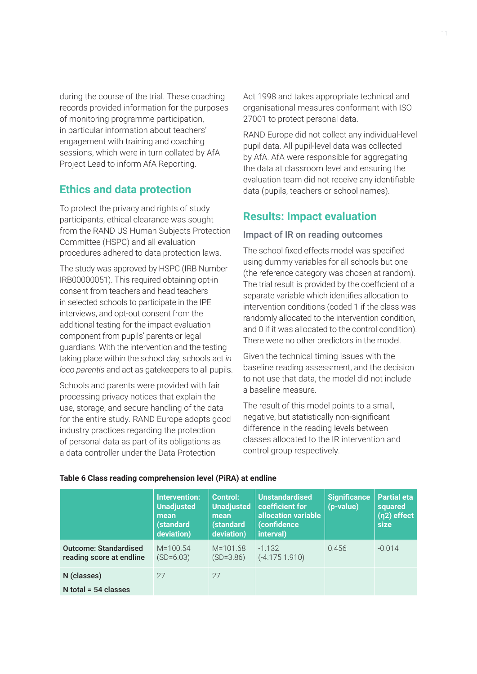during the course of the trial. These coaching records provided information for the purposes of monitoring programme participation, in particular information about teachers' engagement with training and coaching sessions, which were in turn collated by AfA Project Lead to inform AfA Reporting.

## **Ethics and data protection**

To protect the privacy and rights of study participants, ethical clearance was sought from the RAND US Human Subjects Protection Committee (HSPC) and all evaluation procedures adhered to data protection laws.

The study was approved by HSPC (IRB Number IRB00000051). This required obtaining opt-in consent from teachers and head teachers in selected schools to participate in the IPE interviews, and opt-out consent from the additional testing for the impact evaluation component from pupils' parents or legal guardians. With the intervention and the testing taking place within the school day, schools act *in loco parentis* and act as gatekeepers to all pupils.

Schools and parents were provided with fair processing privacy notices that explain the use, storage, and secure handling of the data for the entire study. RAND Europe adopts good industry practices regarding the protection of personal data as part of its obligations as a data controller under the Data Protection

Act 1998 and takes appropriate technical and organisational measures conformant with ISO 27001 to protect personal data.

RAND Europe did not collect any individual-level pupil data. All pupil-level data was collected by AfA. AfA were responsible for aggregating the data at classroom level and ensuring the evaluation team did not receive any identifiable data (pupils, teachers or school names).

# **Results: Impact evaluation**

## Impact of IR on reading outcomes

The school fixed effects model was specified using dummy variables for all schools but one (the reference category was chosen at random). The trial result is provided by the coefficient of a separate variable which identifies allocation to intervention conditions (coded 1 if the class was randomly allocated to the intervention condition, and 0 if it was allocated to the control condition). There were no other predictors in the model.

Given the technical timing issues with the baseline reading assessment, and the decision to not use that data, the model did not include a baseline measure.

The result of this model points to a small, negative, but statistically non-significant difference in the reading levels between classes allocated to the IR intervention and control group respectively.

|                                                          | Intervention:<br><b>Control:</b><br><b>Unadjusted</b><br><b>Unadjusted</b><br>mean<br>mean<br>(standard<br>(standard<br>deviation)<br>deviation) |                             | <b>Unstandardised</b><br>coefficient for<br>allocation variable<br>(confidence<br>interval) | <b>Significance</b><br>$(p-value)$ | <b>Partial eta</b><br>squared<br>$(n2)$ effect<br>size |
|----------------------------------------------------------|--------------------------------------------------------------------------------------------------------------------------------------------------|-----------------------------|---------------------------------------------------------------------------------------------|------------------------------------|--------------------------------------------------------|
| <b>Outcome: Standardised</b><br>reading score at endline | $M = 100.54$<br>$(SD=6.03)$                                                                                                                      | $M = 101.68$<br>$(SD=3.86)$ | $-1.132$<br>$(-4.1751.910)$                                                                 | 0.456                              | $-0.014$                                               |
| N (classes)<br>N total = $54$ classes                    | 27                                                                                                                                               | 27                          |                                                                                             |                                    |                                                        |

#### **Table 6 Class reading comprehension level (PiRA) at endline**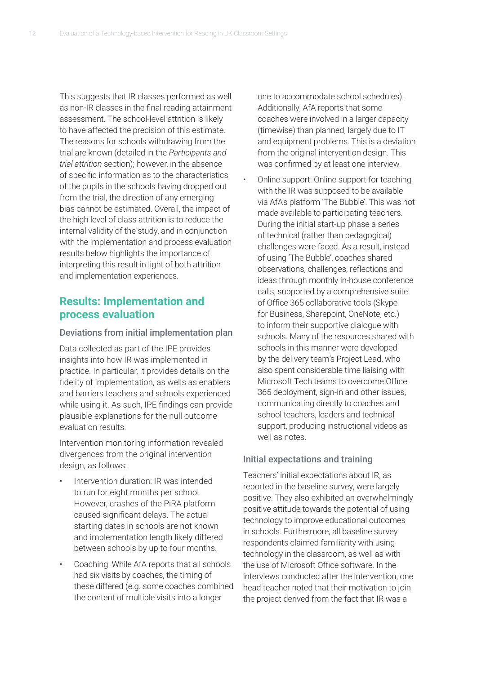This suggests that IR classes performed as well as non-IR classes in the final reading attainment assessment. The school-level attrition is likely to have affected the precision of this estimate. The reasons for schools withdrawing from the trial are known (detailed in the *Participants and trial attrition* section); however, in the absence of specific information as to the characteristics of the pupils in the schools having dropped out from the trial, the direction of any emerging bias cannot be estimated. Overall, the impact of the high level of class attrition is to reduce the internal validity of the study, and in conjunction with the implementation and process evaluation results below highlights the importance of interpreting this result in light of both attrition and implementation experiences.

# **Results: Implementation and process evaluation**

## Deviations from initial implementation plan

Data collected as part of the IPE provides insights into how IR was implemented in practice. In particular, it provides details on the fidelity of implementation, as wells as enablers and barriers teachers and schools experienced while using it. As such, IPE findings can provide plausible explanations for the null outcome evaluation results.

Intervention monitoring information revealed divergences from the original intervention design, as follows:

- Intervention duration: IR was intended to run for eight months per school. However, crashes of the PiRA platform caused significant delays. The actual starting dates in schools are not known and implementation length likely differed between schools by up to four months.
- Coaching: While AfA reports that all schools had six visits by coaches, the timing of these differed (e.g. some coaches combined the content of multiple visits into a longer

one to accommodate school schedules). Additionally, AfA reports that some coaches were involved in a larger capacity (timewise) than planned, largely due to IT and equipment problems. This is a deviation from the original intervention design. This was confirmed by at least one interview.

• Online support: Online support for teaching with the IR was supposed to be available via AfA's platform 'The Bubble'. This was not made available to participating teachers. During the initial start-up phase a series of technical (rather than pedagogical) challenges were faced. As a result, instead of using 'The Bubble', coaches shared observations, challenges, reflections and ideas through monthly in-house conference calls, supported by a comprehensive suite of Office 365 collaborative tools (Skype for Business, Sharepoint, OneNote, etc.) to inform their supportive dialogue with schools. Many of the resources shared with schools in this manner were developed by the delivery team's Project Lead, who also spent considerable time liaising with Microsoft Tech teams to overcome Office 365 deployment, sign-in and other issues, communicating directly to coaches and school teachers, leaders and technical support, producing instructional videos as well as notes.

## Initial expectations and training

Teachers' initial expectations about IR, as reported in the baseline survey, were largely positive. They also exhibited an overwhelmingly positive attitude towards the potential of using technology to improve educational outcomes in schools. Furthermore, all baseline survey respondents claimed familiarity with using technology in the classroom, as well as with the use of Microsoft Office software. In the interviews conducted after the intervention, one head teacher noted that their motivation to join the project derived from the fact that IR was a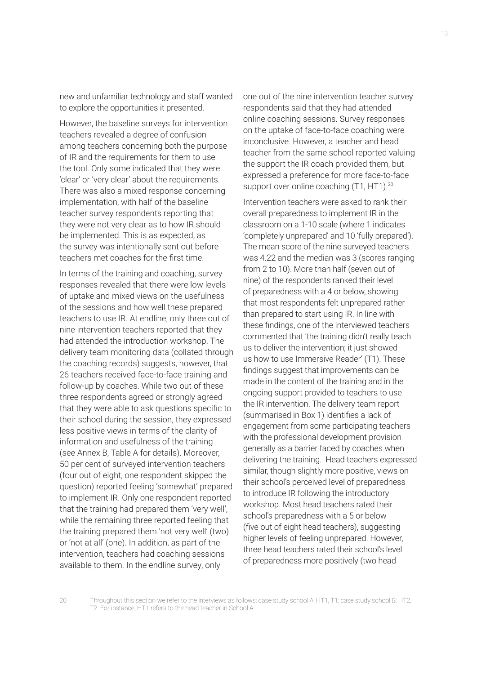new and unfamiliar technology and staff wanted to explore the opportunities it presented.

However, the baseline surveys for intervention teachers revealed a degree of confusion among teachers concerning both the purpose of IR and the requirements for them to use the tool. Only some indicated that they were 'clear' or 'very clear' about the requirements. There was also a mixed response concerning implementation, with half of the baseline teacher survey respondents reporting that they were not very clear as to how IR should be implemented. This is as expected, as the survey was intentionally sent out before teachers met coaches for the first time.

In terms of the training and coaching, survey responses revealed that there were low levels of uptake and mixed views on the usefulness of the sessions and how well these prepared teachers to use IR. At endline, only three out of nine intervention teachers reported that they had attended the introduction workshop. The delivery team monitoring data (collated through the coaching records) suggests, however, that 26 teachers received face-to-face training and follow-up by coaches. While two out of these three respondents agreed or strongly agreed that they were able to ask questions specific to their school during the session, they expressed less positive views in terms of the clarity of information and usefulness of the training (see Annex B, Table A for details). Moreover, 50 per cent of surveyed intervention teachers (four out of eight, one respondent skipped the question) reported feeling 'somewhat' prepared to implement IR. Only one respondent reported that the training had prepared them 'very well', while the remaining three reported feeling that the training prepared them 'not very well' (two) or 'not at all' (one). In addition, as part of the intervention, teachers had coaching sessions available to them. In the endline survey, only

one out of the nine intervention teacher survey respondents said that they had attended online coaching sessions. Survey responses on the uptake of face-to-face coaching were inconclusive. However, a teacher and head teacher from the same school reported valuing the support the IR coach provided them, but expressed a preference for more face-to-face support over online coaching (T1, HT1).<sup>20</sup>

Intervention teachers were asked to rank their overall preparedness to implement IR in the classroom on a 1-10 scale (where 1 indicates 'completely unprepared' and 10 'fully prepared'). The mean score of the nine surveyed teachers was 4.22 and the median was 3 (scores ranging from 2 to 10). More than half (seven out of nine) of the respondents ranked their level of preparedness with a 4 or below, showing that most respondents felt unprepared rather than prepared to start using IR. In line with these findings, one of the interviewed teachers commented that 'the training didn't really teach us to deliver the intervention; it just showed us how to use Immersive Reader' (T1). These findings suggest that improvements can be made in the content of the training and in the ongoing support provided to teachers to use the IR intervention. The delivery team report (summarised in Box 1) identifies a lack of engagement from some participating teachers with the professional development provision generally as a barrier faced by coaches when delivering the training. Head teachers expressed similar, though slightly more positive, views on their school's perceived level of preparedness to introduce IR following the introductory workshop. Most head teachers rated their school's preparedness with a 5 or below (five out of eight head teachers), suggesting higher levels of feeling unprepared. However, three head teachers rated their school's level of preparedness more positively (two head

<sup>20</sup> Throughout this section we refer to the interviews as follows: case study school A: HT1, T1; case study school B: HT2, T2. For instance, HT1 refers to the head teacher in School A.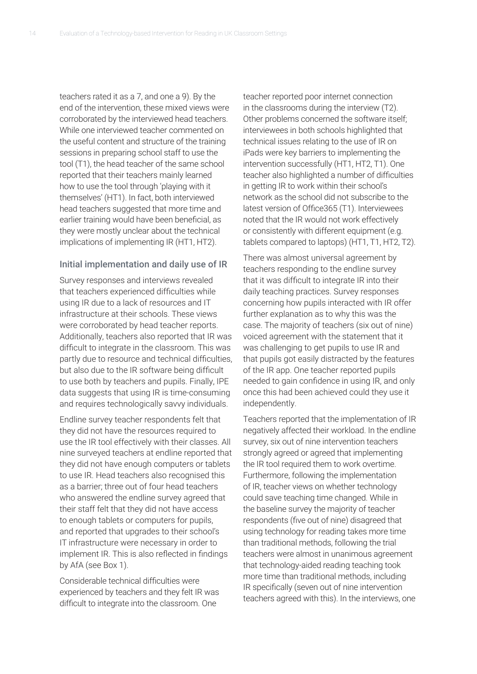teachers rated it as a 7, and one a 9). By the end of the intervention, these mixed views were corroborated by the interviewed head teachers. While one interviewed teacher commented on the useful content and structure of the training sessions in preparing school staff to use the tool (T1), the head teacher of the same school reported that their teachers mainly learned how to use the tool through 'playing with it themselves' (HT1). In fact, both interviewed head teachers suggested that more time and earlier training would have been beneficial, as they were mostly unclear about the technical implications of implementing IR (HT1, HT2).

#### Initial implementation and daily use of IR

Survey responses and interviews revealed that teachers experienced difficulties while using IR due to a lack of resources and IT infrastructure at their schools. These views were corroborated by head teacher reports. Additionally, teachers also reported that IR was difficult to integrate in the classroom. This was partly due to resource and technical difficulties, but also due to the IR software being difficult to use both by teachers and pupils. Finally, IPE data suggests that using IR is time-consuming and requires technologically savvy individuals.

Endline survey teacher respondents felt that they did not have the resources required to use the IR tool effectively with their classes. All nine surveyed teachers at endline reported that they did not have enough computers or tablets to use IR. Head teachers also recognised this as a barrier; three out of four head teachers who answered the endline survey agreed that their staff felt that they did not have access to enough tablets or computers for pupils, and reported that upgrades to their school's IT infrastructure were necessary in order to implement IR. This is also reflected in findings by AfA (see Box 1).

Considerable technical difficulties were experienced by teachers and they felt IR was difficult to integrate into the classroom. One

teacher reported poor internet connection in the classrooms during the interview (T2). Other problems concerned the software itself; interviewees in both schools highlighted that technical issues relating to the use of IR on iPads were key barriers to implementing the intervention successfully (HT1, HT2, T1). One teacher also highlighted a number of difficulties in getting IR to work within their school's network as the school did not subscribe to the latest version of Office365 (T1). Interviewees noted that the IR would not work effectively or consistently with different equipment (e.g. tablets compared to laptops) (HT1, T1, HT2, T2).

There was almost universal agreement by teachers responding to the endline survey that it was difficult to integrate IR into their daily teaching practices. Survey responses concerning how pupils interacted with IR offer further explanation as to why this was the case. The majority of teachers (six out of nine) voiced agreement with the statement that it was challenging to get pupils to use IR and that pupils got easily distracted by the features of the IR app. One teacher reported pupils needed to gain confidence in using IR, and only once this had been achieved could they use it independently.

Teachers reported that the implementation of IR negatively affected their workload. In the endline survey, six out of nine intervention teachers strongly agreed or agreed that implementing the IR tool required them to work overtime. Furthermore, following the implementation of IR, teacher views on whether technology could save teaching time changed. While in the baseline survey the majority of teacher respondents (five out of nine) disagreed that using technology for reading takes more time than traditional methods, following the trial teachers were almost in unanimous agreement that technology-aided reading teaching took more time than traditional methods, including IR specifically (seven out of nine intervention teachers agreed with this). In the interviews, one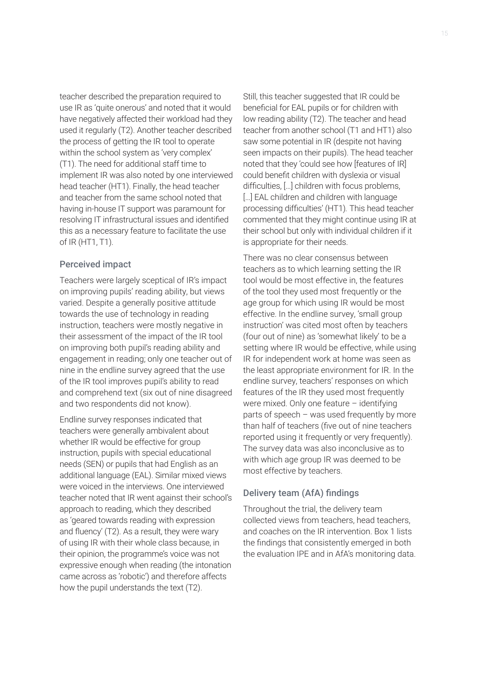teacher described the preparation required to use IR as 'quite onerous' and noted that it would have negatively affected their workload had they used it regularly (T2). Another teacher described the process of getting the IR tool to operate within the school system as 'very complex' (T1). The need for additional staff time to implement IR was also noted by one interviewed head teacher (HT1). Finally, the head teacher and teacher from the same school noted that having in-house IT support was paramount for resolving IT infrastructural issues and identified this as a necessary feature to facilitate the use of IR (HT1, T1).

## Perceived impact

Teachers were largely sceptical of IR's impact on improving pupils' reading ability, but views varied. Despite a generally positive attitude towards the use of technology in reading instruction, teachers were mostly negative in their assessment of the impact of the IR tool on improving both pupil's reading ability and engagement in reading; only one teacher out of nine in the endline survey agreed that the use of the IR tool improves pupil's ability to read and comprehend text (six out of nine disagreed and two respondents did not know).

Endline survey responses indicated that teachers were generally ambivalent about whether IR would be effective for group instruction, pupils with special educational needs (SEN) or pupils that had English as an additional language (EAL). Similar mixed views were voiced in the interviews. One interviewed teacher noted that IR went against their school's approach to reading, which they described as 'geared towards reading with expression and fluency' (T2). As a result, they were wary of using IR with their whole class because, in their opinion, the programme's voice was not expressive enough when reading (the intonation came across as 'robotic') and therefore affects how the pupil understands the text (T2).

Still, this teacher suggested that IR could be beneficial for EAL pupils or for children with low reading ability (T2). The teacher and head teacher from another school (T1 and HT1) also saw some potential in IR (despite not having seen impacts on their pupils). The head teacher noted that they 'could see how [features of IR] could benefit children with dyslexia or visual difficulties, […] children with focus problems, [...] EAL children and children with language processing difficulties' (HT1)*.* This head teacher commented that they might continue using IR at their school but only with individual children if it is appropriate for their needs.

There was no clear consensus between teachers as to which learning setting the IR tool would be most effective in, the features of the tool they used most frequently or the age group for which using IR would be most effective. In the endline survey, 'small group instruction' was cited most often by teachers (four out of nine) as 'somewhat likely' to be a setting where IR would be effective, while using IR for independent work at home was seen as the least appropriate environment for IR. In the endline survey, teachers' responses on which features of the IR they used most frequently were mixed. Only one feature – identifying parts of speech – was used frequently by more than half of teachers (five out of nine teachers reported using it frequently or very frequently). The survey data was also inconclusive as to with which age group IR was deemed to be most effective by teachers.

## Delivery team (AfA) findings

Throughout the trial, the delivery team collected views from teachers, head teachers, and coaches on the IR intervention. Box 1 lists the findings that consistently emerged in both the evaluation IPE and in AfA's monitoring data.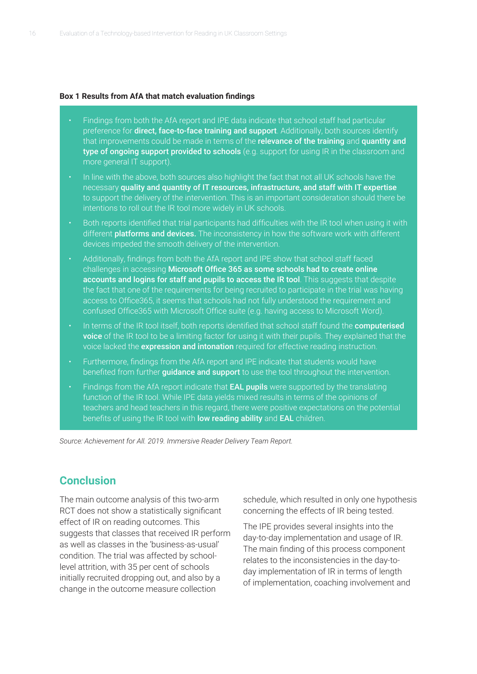#### **Box 1 Results from AfA that match evaluation findings**

- Findings from both the AfA report and IPE data indicate that school staff had particular preference for direct, face-to-face training and support. Additionally, both sources identify that improvements could be made in terms of the relevance of the training and quantity and type of ongoing support provided to schools (e.g. support for using IR in the classroom and more general IT support).
- In line with the above, both sources also highlight the fact that not all UK schools have the necessary quality and quantity of IT resources, infrastructure, and staff with IT expertise to support the delivery of the intervention. This is an important consideration should there be intentions to roll out the IR tool more widely in UK schools.
- Both reports identified that trial participants had difficulties with the IR tool when using it with different **platforms and devices.** The inconsistency in how the software work with different devices impeded the smooth delivery of the intervention.
- Additionally, findings from both the AfA report and IPE show that school staff faced challenges in accessing Microsoft Office 365 as some schools had to create online accounts and logins for staff and pupils to access the IR tool. This suggests that despite the fact that one of the requirements for being recruited to participate in the trial was having access to Office365, it seems that schools had not fully understood the requirement and confused Office365 with Microsoft Office suite (e.g. having access to Microsoft Word).
- In terms of the IR tool itself, both reports identified that school staff found the **computerised** voice of the IR tool to be a limiting factor for using it with their pupils. They explained that the voice lacked the **expression and intonation** required for effective reading instruction.
- Furthermore, findings from the AfA report and IPE indicate that students would have benefited from further guidance and support to use the tool throughout the intervention.
- Findings from the AfA report indicate that **EAL pupils** were supported by the translating function of the IR tool. While IPE data yields mixed results in terms of the opinions of teachers and head teachers in this regard, there were positive expectations on the potential benefits of using the IR tool with low reading ability and EAL children.

*Source: Achievement for All. 2019. Immersive Reader Delivery Team Report.*

# **Conclusion**

The main outcome analysis of this two-arm RCT does not show a statistically significant effect of IR on reading outcomes. This suggests that classes that received IR perform as well as classes in the 'business-as-usual' condition. The trial was affected by schoollevel attrition, with 35 per cent of schools initially recruited dropping out, and also by a change in the outcome measure collection

schedule, which resulted in only one hypothesis concerning the effects of IR being tested.

The IPE provides several insights into the day-to-day implementation and usage of IR. The main finding of this process component relates to the inconsistencies in the day-today implementation of IR in terms of length of implementation, coaching involvement and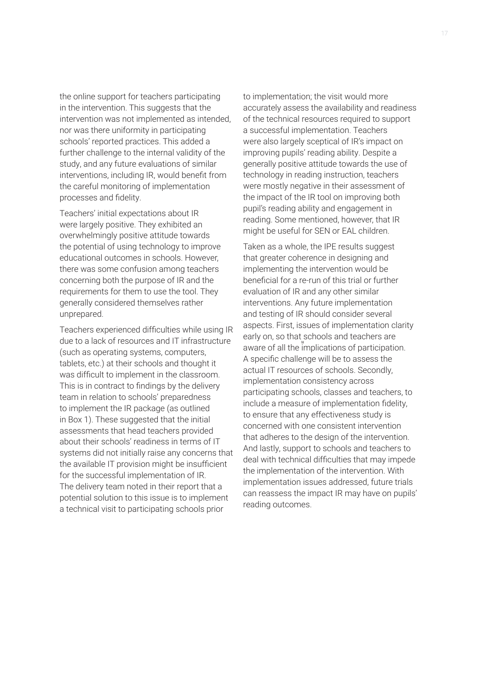the online support for teachers participating in the intervention. This suggests that the intervention was not implemented as intended, nor was there uniformity in participating schools' reported practices. This added a further challenge to the internal validity of the study, and any future evaluations of similar interventions, including IR, would benefit from the careful monitoring of implementation processes and fidelity.

Teachers' initial expectations about IR were largely positive. They exhibited an overwhelmingly positive attitude towards the potential of using technology to improve educational outcomes in schools. However, there was some confusion among teachers concerning both the purpose of IR and the requirements for them to use the tool. They generally considered themselves rather unprepared.

Teachers experienced difficulties while using IR due to a lack of resources and IT infrastructure (such as operating systems, computers, tablets, etc.) at their schools and thought it was difficult to implement in the classroom. This is in contract to findings by the delivery team in relation to schools' preparedness to implement the IR package (as outlined in Box 1). These suggested that the initial assessments that head teachers provided about their schools' readiness in terms of IT systems did not initially raise any concerns that the available IT provision might be insufficient for the successful implementation of IR. The delivery team noted in their report that a potential solution to this issue is to implement a technical visit to participating schools prior

to implementation; the visit would more accurately assess the availability and readiness of the technical resources required to support a successful implementation. Teachers were also largely sceptical of IR's impact on improving pupils' reading ability. Despite a generally positive attitude towards the use of technology in reading instruction, teachers were mostly negative in their assessment of the impact of the IR tool on improving both pupil's reading ability and engagement in reading. Some mentioned, however, that IR might be useful for SEN or EAL children.

Taken as a whole, the IPE results suggest that greater coherence in designing and implementing the intervention would be beneficial for a re-run of this trial or further evaluation of IR and any other similar interventions. Any future implementation and testing of IR should consider several aspects. First, issues of implementation clarity early on, so that schools and teachers are aware of all the implications of participation. A specific challenge will be to assess the actual IT resources of schools. Secondly, implementation consistency across participating schools, classes and teachers, to include a measure of implementation fidelity, to ensure that any effectiveness study is concerned with one consistent intervention that adheres to the design of the intervention. And lastly, support to schools and teachers to deal with technical difficulties that may impede the implementation of the intervention. With implementation issues addressed, future trials can reassess the impact IR may have on pupils' reading outcomes.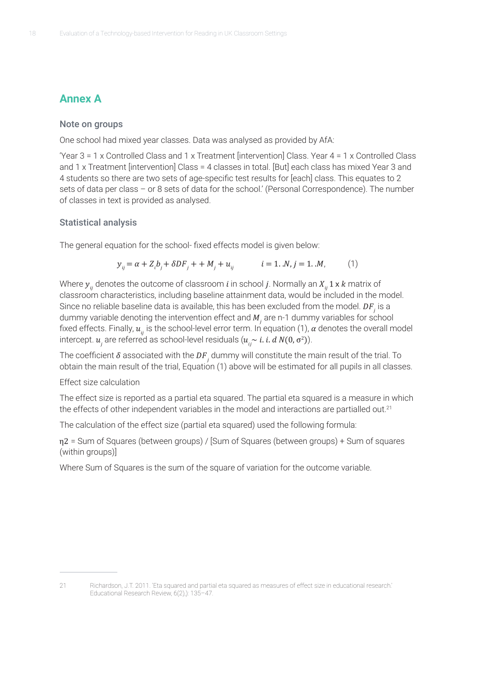# **Annex A**

## Note on groups

One school had mixed year classes. Data was analysed as provided by AfA:

'Year 3 = 1 x Controlled Class and 1 x Treatment [intervention] Class. Year 4 = 1 x Controlled Class and 1 x Treatment [intervention] Class = 4 classes in total. [But] each class has mixed Year 3 and 4 students so there are two sets of age-specific test results for [each] class. This equates to 2 sets of data per class – or 8 sets of data for the school.' (Personal Correspondence). The number of classes in text is provided as analysed.

## Statistical analysis

The general equation for the school- fixed effects model is given below:

$$
y_{ij} = \alpha + Z_i b_j + \delta DF_j + M_j + u_{ij} \qquad i = 1..N, j = 1..M,
$$
 (1)

Where  $y_{ii}$  denotes the outcome of classroom *i* in school *j*. Normally an  $X_{ii}$  1 x k matrix of classroom characteristics, including baseline attainment data, would be included in the model. Since no reliable baseline data is available, this has been excluded from the model.  $DF<sub>i</sub>$  is a dummy variable denoting the intervention effect and  $M_i$  are n-1 dummy variables for school fixed effects. Finally,  $u_{ii}$  is the school-level error term. In equation (1),  $\alpha$  denotes the overall model intercept.  $u_{_j}$  are referred as school-level residuals  $(u_{_{ij}}\!\!\sim\! i.$  i. d  $N(0,\sigma^2)).$ 

The coefficient  $\delta$  associated with the  $DF_i$  dummy will constitute the main result of the trial. To obtain the main result of the trial, Equation (1) above will be estimated for all pupils in all classes.

## Effect size calculation

The effect size is reported as a partial eta squared. The partial eta squared is a measure in which the effects of other independent variables in the model and interactions are partialled out.<sup>21</sup>

The calculation of the effect size (partial eta squared) used the following formula:

η2 = Sum of Squares (between groups) / [Sum of Squares (between groups) + Sum of squares (within groups)]

Where Sum of Squares is the sum of the square of variation for the outcome variable.

<sup>21</sup> Richardson, J.T. 2011. 'Eta squared and partial eta squared as measures of effect size in educational research.' Educational Research Review, 6(2),): 135–47.